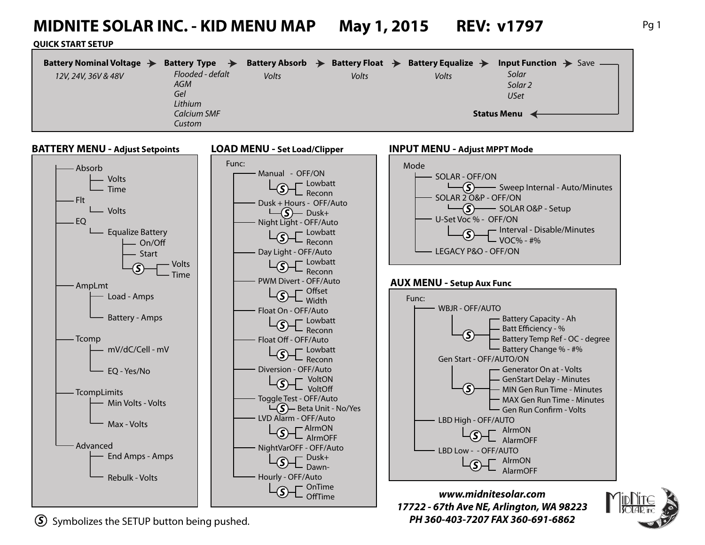# **MIDNITE SOLAR INC. - KID MENU MAP May 1, 2015 REV: v1797** Pg 1

#### **QUICK START SETUP**

| Battery Nominal Voltage $\rightarrow$ | Battery Type $\rightarrow$ | Battery Absorb $\rightarrow$ | Battery Float $\rightarrow$ | Battery Equalize $\rightarrow$ | <b>Input Function <math>\rightarrow</math></b> Save — |
|---------------------------------------|----------------------------|------------------------------|-----------------------------|--------------------------------|-------------------------------------------------------|
| 12V, 24V, 36V & 48V                   | Flooded - defalt           | Volts                        | Volts                       | Volts                          | Solar                                                 |
|                                       | AGM                        |                              |                             |                                | Solar <sub>2</sub>                                    |
|                                       | Gel                        |                              |                             |                                | USet                                                  |
|                                       | Lithium                    |                              |                             |                                |                                                       |
| Calcium SMF                           |                            |                              | <b>Status Menu</b>          |                                |                                                       |
|                                       | Custom                     |                              |                             |                                |                                                       |



*S* Symbolizes the SETUP button being pushed. *PH 360-403-7207 FAX 360-691-6862*